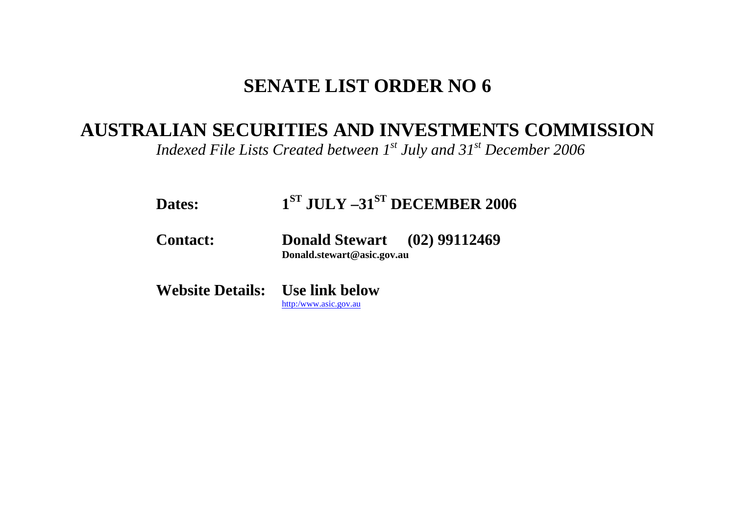## **SENATE LIST ORDER NO 6**

## **AUSTRALIAN SECURITIES AND INVESTMENTS COMMISSION**

*Indexed File Lists Created between 1st July and 31st December 2006* 

| <b>Dates:</b>                          | $1ST$ JULY $-31ST$ DECEMBER 2006                                  |  |
|----------------------------------------|-------------------------------------------------------------------|--|
| <b>Contact:</b>                        | <b>Donald Stewart</b> (02) 99112469<br>Donald.stewart@asic.gov.au |  |
| <b>Website Details:</b> Use link below |                                                                   |  |

[http:/www.asic.gov.au](http://www.asic.gov.au/asic/asic.nsf/byid/CA256AE90002F4BFCA256AFB007AB8C1?opendocument)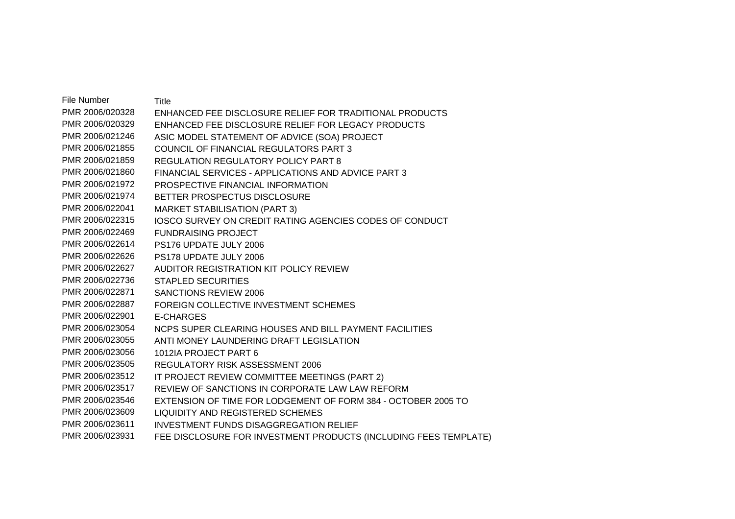File Number Title PMR 2006/020328 ENHANCED FEE DISCLOSURE RELIEF FOR TRADITIONAL PRODUCTS PMR 2006/020329 ENHANCED FEE DISCLOSURE RELIEF FOR LEGACY PRODUCTS PMR 2006/021246 ASIC MODEL STATEMENT OF ADVICE (SOA) PROJECT PMR 2006/021855 COUNCIL OF FINANCIAL REGULATORS PART 3 PMR 2006/021859 REGULATION REGULATORY POLICY PART 8 PMR 2006/021860 FINANCIAL SERVICES - APPLICATIONS AND ADVICE PART 3 PMR 2006/021972 PROSPECTIVE FINANCIAL INFORMATION PMR 2006/021974 BETTER PROSPECTUS DISCLOSURE PMR 2006/022041 MARKET STABILISATION (PART 3) PMR 2006/022315 IOSCO SURVEY ON CREDIT RATING AGENCIES CODES OF CONDUCT PMR 2006/022469 FUNDRAISING PROJECT PMR 2006/022614 PS176 UPDATE JULY 2006 PMR 2006/022626 PS178 UPDATE JULY 2006 PMR 2006/022627 AUDITOR REGISTRATION KIT POLICY REVIEW PMR 2006/022736 STAPLED SECURITIES PMR 2006/022871 SANCTIONS REVIEW 2006 PMR 2006/022887 FOREIGN COLLECTIVE INVESTMENT SCHEMES PMR 2006/022901 E-CHARGES PMR 2006/023054 NCPS SUPER CLEARING HOUSES AND BILL PAYMENT FACILITIES PMR 2006/023055 ANTI MONEY LAUNDERING DRAFT LEGISLATION PMR 2006/023056 1012IA PROJECT PART 6 PMR 2006/023505 REGULATORY RISK ASSESSMENT 2006 PMR 2006/023512 IT PROJECT REVIEW COMMITTEE MEETINGS (PART 2) PMR 2006/023517 REVIEW OF SANCTIONS IN CORPORATE LAW LAW REFORM PMR 2006/023546 EXTENSION OF TIME FOR LODGEMENT OF FORM 384 - OCTOBER 2005 TO PMR 2006/023609 LIQUIDITY AND REGISTERED SCHEMES PMR 2006/023611 INVESTMENT FUNDS DISAGGREGATION RELIEF PMR 2006/023931 FEE DISCLOSURE FOR INVESTMENT PRODUCTS (INCLUDING FEES TEMPLATE)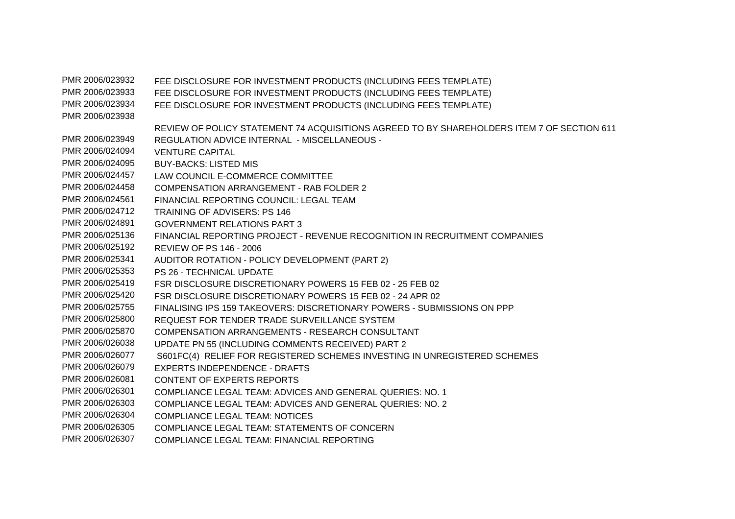PMR 2006/023932 FEE DISCLOSURE FOR INVESTMENT PRODUCTS (INCLUDING FEES TEMPLATE) PMR 2006/023933 FEE DISCLOSURE FOR INVESTMENT PRODUCTS (INCLUDING FEES TEMPLATE) PMR 2006/023934 FEE DISCLOSURE FOR INVESTMENT PRODUCTS (INCLUDING FEES TEMPLATE) PMR 2006/023938 REVIEW OF POLICY STATEMENT 74 ACQUISITIONS AGREED TO BY SHAREHOLDERS ITEM 7 OF SECTION 611 PMR 2006/023949 REGULATION ADVICE INTERNAL - MISCELLANEOUS - PMR 2006/024094 VENTURE CAPITAL PMR 2006/024095 BUY-BACKS: LISTED MIS PMR 2006/024457 LAW COUNCIL E-COMMERCE COMMITTEE PMR 2006/024458 COMPENSATION ARRANGEMENT - RAB FOLDER 2 PMR 2006/024561 FINANCIAL REPORTING COUNCIL: LEGAL TEAM PMR 2006/024712 TRAINING OF ADVISERS: PS 146 PMR 2006/024891 GOVERNMENT RELATIONS PART 3 PMR 2006/025136 FINANCIAL REPORTING PROJECT - REVENUE RECOGNITION IN RECRUITMENT COMPANIES PMR 2006/025192 REVIEW OF PS 146 - 2006 PMR 2006/025341 AUDITOR ROTATION - POLICY DEVELOPMENT (PART 2) PMR 2006/025353 PS 26 - TECHNICAL UPDATE PMR 2006/025419 FSR DISCLOSURE DISCRETIONARY POWERS 15 FEB 02 - 25 FEB 02 PMR 2006/025420 FSR DISCLOSURE DISCRETIONARY POWERS 15 FEB 02 - 24 APR 02 PMR 2006/025755 FINALISING IPS 159 TAKEOVERS: DISCRETIONARY POWERS - SUBMISSIONS ON PPP PMR 2006/025800 REQUEST FOR TENDER TRADE SURVEILLANCE SYSTEM PMR 2006/025870 COMPENSATION ARRANGEMENTS - RESEARCH CONSULTANT PMR 2006/026038 UPDATE PN 55 (INCLUDING COMMENTS RECEIVED) PART 2 PMR 2006/026077 S601FC(4) RELIEF FOR REGISTERED SCHEMES INVESTING IN UNREGISTERED SCHEMES PMR 2006/026079 EXPERTS INDEPENDENCE - DRAFTS PMR 2006/026081 CONTENT OF EXPERTS REPORTS PMR 2006/026301 COMPLIANCE LEGAL TEAM: ADVICES AND GENERAL QUERIES: NO. 1 PMR 2006/026303 COMPLIANCE LEGAL TEAM: ADVICES AND GENERAL QUERIES: NO. 2 PMR 2006/026304 COMPLIANCE LEGAL TEAM: NOTICES PMR 2006/026305 COMPLIANCE LEGAL TEAM: STATEMENTS OF CONCERN PMR 2006/026307 COMPLIANCE LEGAL TEAM: FINANCIAL REPORTING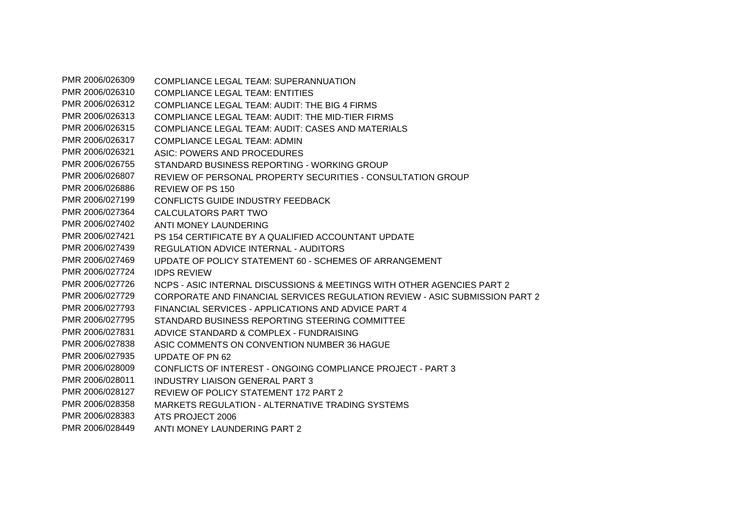PMR 2006/026309 COMPLIANCE LEGAL TEAM: SUPERANNUATION PMR 2006/026310 COMPLIANCE LEGAL TEAM: ENTITIES PMR 2006/026312 COMPLIANCE LEGAL TEAM: AUDIT: THE BIG 4 FIRMS PMR 2006/026313 COMPLIANCE LEGAL TEAM: AUDIT: THE MID-TIER FIRMS PMR 2006/026315 COMPLIANCE LEGAL TEAM: AUDIT: CASES AND MATERIALS PMR 2006/026317 COMPLIANCE LEGAL TEAM: ADMIN PMR 2006/026321 ASIC: POWERS AND PROCEDURES PMR 2006/026755 STANDARD BUSINESS REPORTING - WORKING GROUP PMR 2006/026807 REVIEW OF PERSONAL PROPERTY SECURITIES - CONSULTATION GROUP PMR 2006/026886 REVIEW OF PS 150 PMR 2006/027199 CONFLICTS GUIDE INDUSTRY FEEDBACK PMR 2006/027364 CALCULATORS PART TWO PMR 2006/027402 ANTI MONEY LAUNDERING PMR 2006/027421 PS 154 CERTIFICATE BY A QUALIFIED ACCOUNTANT UPDATE PMR 2006/027439 REGULATION ADVICE INTERNAL - AUDITORS PMR 2006/027469 UPDATE OF POLICY STATEMENT 60 - SCHEMES OF ARRANGEMENT PMR 2006/027724 IDPS REVIEW PMR 2006/027726 NCPS - ASIC INTERNAL DISCUSSIONS & MEETINGS WITH OTHER AGENCIES PART 2 PMR 2006/027729 CORPORATE AND FINANCIAL SERVICES REGULATION REVIEW - ASIC SUBMISSION PART 2 PMR 2006/027793 FINANCIAL SERVICES - APPLICATIONS AND ADVICE PART 4 PMR 2006/027795 STANDARD BUSINESS REPORTING STEERING COMMITTEE PMR 2006/027831 ADVICE STANDARD & COMPLEX - FUNDRAISING PMR 2006/027838 ASIC COMMENTS ON CONVENTION NUMBER 36 HAGUE PMR 2006/027935 UPDATE OF PN 62 PMR 2006/028009 CONFLICTS OF INTEREST - ONGOING COMPLIANCE PROJECT - PART 3 PMR 2006/028011 INDUSTRY LIAISON GENERAL PART 3 PMR 2006/028127 REVIEW OF POLICY STATEMENT 172 PART 2 PMR 2006/028358 MARKETS REGULATION - ALTERNATIVE TRADING SYSTEMS PMR 2006/028383 ATS PROJECT 2006 PMR 2006/028449 ANTI MONEY LAUNDERING PART 2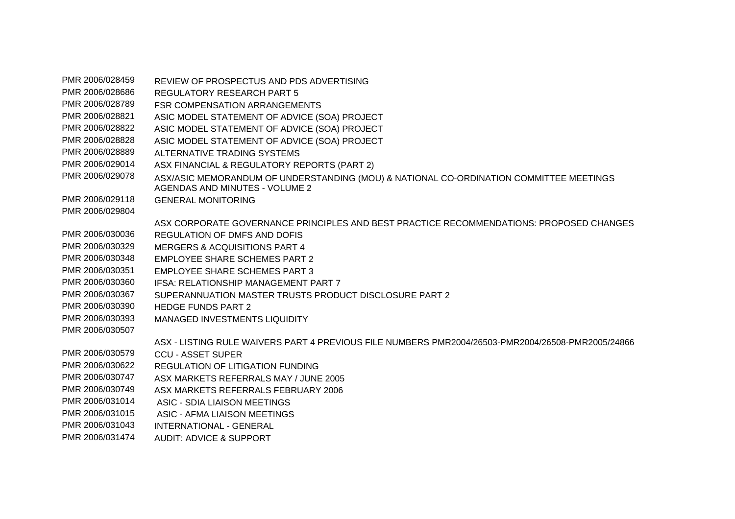PMR 2006/028459 REVIEW OF PROSPECTUS AND PDS ADVERTISING PMR 2006/028686 REGULATORY RESEARCH PART 5 PMR 2006/028789 FSR COMPENSATION ARRANGEMENTS PMR 2006/028821 ASIC MODEL STATEMENT OF ADVICE (SOA) PROJECT PMR 2006/028822 ASIC MODEL STATEMENT OF ADVICE (SOA) PROJECT PMR 2006/028828 ASIC MODEL STATEMENT OF ADVICE (SOA) PROJECT PMR 2006/028889 ALTERNATIVE TRADING SYSTEMS PMR 2006/029014 ASX FINANCIAL & REGULATORY REPORTS (PART 2) PMR 2006/029078 ASX/ASIC MEMORANDUM OF UNDERSTANDING (MOU) & NATIONAL CO-ORDINATION COMMITTEE MEETINGS AGENDAS AND MINUTES - VOLUME 2 PMR 2006/029118 GENERAL MONITORING PMR 2006/029804 ASX CORPORATE GOVERNANCE PRINCIPLES AND BEST PRACTICE RECOMMENDATIONS: PROPOSED CHANGES PMR 2006/030036 REGULATION OF DMFS AND DOFIS PMR 2006/030329 MERGERS & ACQUISITIONS PART 4 PMR 2006/030348 FMPLOYEE SHARE SCHEMES PART 2 PMR 2006/030351 EMPLOYEE SHARE SCHEMES PART 3 PMR 2006/030360 IFSA: RELATIONSHIP MANAGEMENT PART 7 PMR 2006/030367 SUPERANNUATION MASTER TRUSTS PRODUCT DISCLOSURE PART 2 PMR 2006/030390 HEDGE FUNDS PART 2 PMR 2006/030393 MANAGED INVESTMENTS LIQUIDITY PMR 2006/030507 ASX - LISTING RULE WAIVERS PART 4 PREVIOUS FILE NUMBERS PMR2004/26503-PMR2004/26508-PMR2005/24866 PMR 2006/030579 CCU - ASSET SUPER PMR 2006/030622 REGULATION OF LITIGATION FUNDING PMR 2006/030747 ASX MARKETS REFERRALS MAY / JUNE 2005 PMR 2006/030749 ASX MARKETS REFERRALS FEBRUARY 2006 PMR 2006/031014 ASIC - SDIA LIAISON MEETINGS PMR 2006/031015 ASIC - AFMA LIAISON MEETINGS PMR 2006/031043 INTERNATIONAL - GENERAL PMR 2006/031474 AUDIT: ADVICE & SUPPORT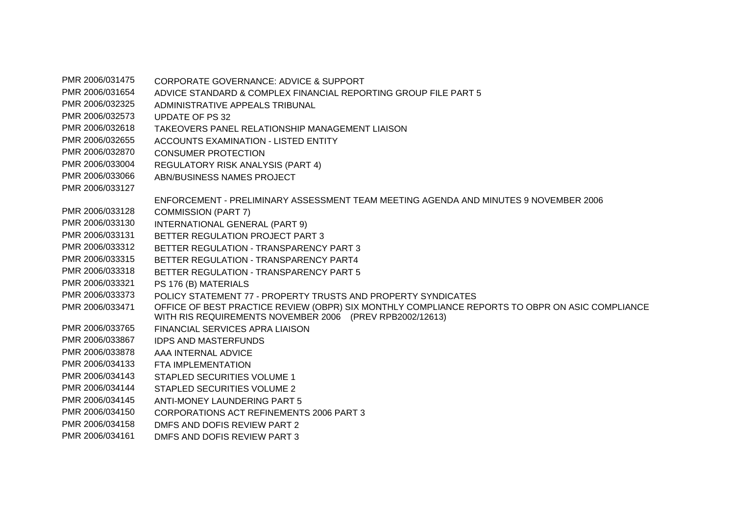PMR 2006/031475 CORPORATE GOVERNANCE: ADVICE & SUPPORT PMR 2006/031654 ADVICE STANDARD & COMPLEX FINANCIAL REPORTING GROUP FILE PART 5 PMR 2006/032325 ADMINISTRATIVE APPEALS TRIBUNAL PMR 2006/032573 UPDATE OF PS 32 PMR 2006/032618 TAKEOVERS PANEL RELATIONSHIP MANAGEMENT LIAISON PMR 2006/032655 ACCOUNTS EXAMINATION - LISTED ENTITY PMR 2006/032870 CONSUMER PROTECTION PMR 2006/033004 REGULATORY RISK ANALYSIS (PART 4) PMR 2006/033066 ABN/BUSINESS NAMES PROJECT PMR 2006/033127 ENFORCEMENT - PRELIMINARY ASSESSMENT TEAM MEETING AGENDA AND MINUTES 9 NOVEMBER 2006 PMR 2006/033128 COMMISSION (PART 7) PMR 2006/033130 INTERNATIONAL GENERAL (PART 9) PMR 2006/033131 BETTER REGULATION PROJECT PART 3 PMR 2006/033312 BETTER REGULATION - TRANSPARENCY PART 3 PMR 2006/033315 BETTER REGULATION - TRANSPARENCY PART4 PMR 2006/033318 BETTER REGULATION - TRANSPARENCY PART 5 PMR 2006/033321 PS 176 (B) MATERIALS PMR 2006/033373 POLICY STATEMENT 77 - PROPERTY TRUSTS AND PROPERTY SYNDICATES PMR 2006/033471 OFFICE OF BEST PRACTICE REVIEW (OBPR) SIX MONTHLY COMPLIANCE REPORTS TO OBPR ON ASIC COMPLIANCE WITH RIS REQUIREMENTS NOVEMBER 2006 (PREV RPB2002/12613) PMR 2006/033765 FINANCIAL SERVICES APRA LIAISON PMR 2006/033867 IDPS AND MASTERFUNDS PMR 2006/033878 AAA INTERNAL ADVICE PMR 2006/034133 FTA IMPL FMENTATION PMR 2006/034143 STAPLED SECURITIES VOLUME 1 PMR 2006/034144 STAPLED SECURITIES VOLUME 2 PMR 2006/034145 ANTI-MONEY LAUNDERING PART 5 PMR 2006/034150 CORPORATIONS ACT REFINEMENTS 2006 PART 3 PMR 2006/034158 DMFS AND DOFIS REVIEW PART 2 PMR 2006/034161 DMFS AND DOFIS REVIEW PART 3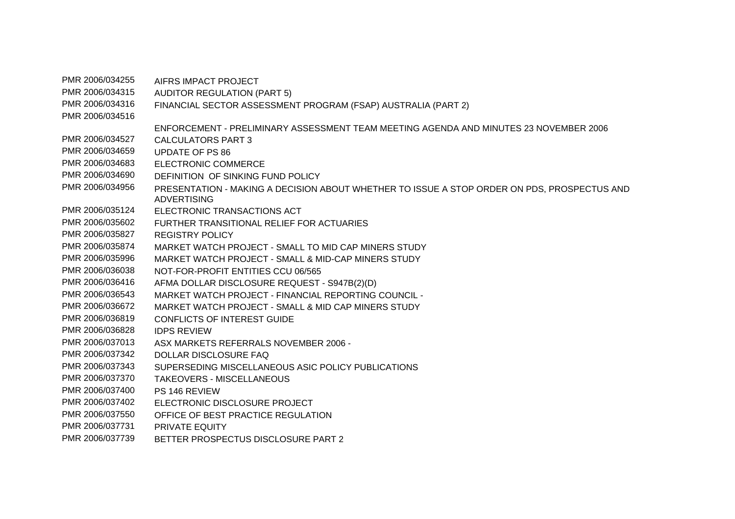PMR 2006/034255 AIFRS IMPACT PROJECT PMR 2006/034315 AUDITOR REGULATION (PART 5) PMR 2006/034316 FINANCIAL SECTOR ASSESSMENT PROGRAM (FSAP) AUSTRALIA (PART 2) PMR 2006/034516 ENFORCEMENT - PRELIMINARY ASSESSMENT TEAM MEETING AGENDA AND MINUTES 23 NOVEMBER 2006 PMR 2006/034527 CALCULATORS PART 3 PMR 2006/034659 UPDATE OF PS 86 PMR 2006/034683 ELECTRONIC COMMERCE PMR 2006/034690 DEFINITION OF SINKING FUND POLICY PMR 2006/034956 PRESENTATION - MAKING A DECISION ABOUT WHETHER TO ISSUE A STOP ORDER ON PDS, PROSPECTUS AND ADVERTISING PMR 2006/035124 ELECTRONIC TRANSACTIONS ACT PMR 2006/035602 FURTHER TRANSITIONAL RELIEF FOR ACTUARIES PMR 2006/035827 REGISTRY POLICY PMR 2006/035874 MARKET WATCH PROJECT - SMALL TO MID CAP MINERS STUDY PMR 2006/035996 MARKET WATCH PROJECT - SMALL & MID-CAP MINERS STUDY PMR 2006/036038 NOT-FOR-PROFIT ENTITIES CCU 06/565 PMR 2006/036416 AFMA DOLLAR DISCLOSURE REQUEST - S947B(2)(D) PMR 2006/036543 MARKET WATCH PROJECT - FINANCIAL REPORTING COUNCIL - PMR 2006/036672 MARKET WATCH PROJECT - SMALL & MID CAP MINERS STUDY PMR 2006/036819 CONFLICTS OF INTEREST GUIDE PMR 2006/036828 IDPS REVIEW PMR 2006/037013 ASX MARKETS REFERRALS NOVEMBER 2006 - PMR 2006/037342 DOLLAR DISCLOSURE FAQ PMR 2006/037343 SUPERSEDING MISCELLANEOUS ASIC POLICY PUBLICATIONS PMR 2006/037370 TAKEOVERS - MISCELLANEOUS PMR 2006/037400 PS 146 REVIEW PMR 2006/037402 ELECTRONIC DISCLOSURE PROJECT PMR 2006/037550 OFFICE OF BEST PRACTICE REGULATION PMR 2006/037731 PRIVATE EQUITY PMR 2006/037739 BETTER PROSPECTUS DISCLOSURE PART 2